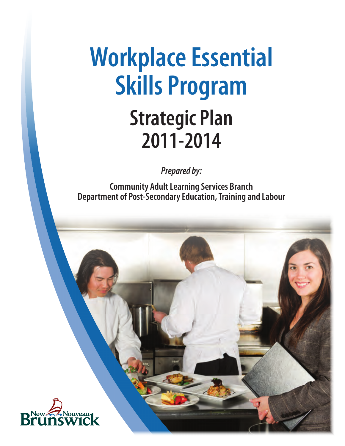# **Workplace Essential Skills Program Strategic Plan 2011-2014**

*Prepared by:*

**Community Adult Learning Services Branch Department of Post-Secondary Education, Training and Labour**

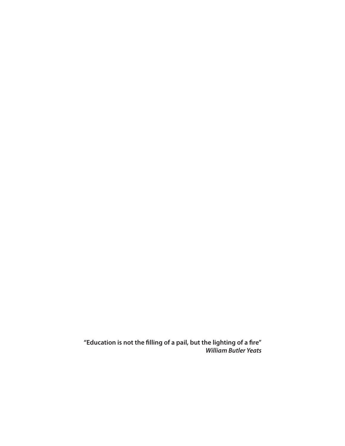**"Education is not the filling of a pail, but the lighting of a fire"**  *William Butler Yeats*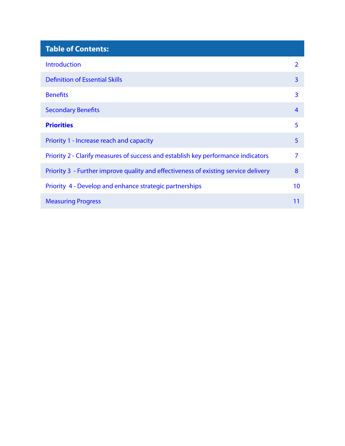| <b>Table of Contents:</b>                                                           |                |
|-------------------------------------------------------------------------------------|----------------|
| <b>Introduction</b>                                                                 | $\mathcal{P}$  |
| <b>Definition of Essential Skills</b>                                               | $\overline{3}$ |
| <b>Benefits</b>                                                                     | 3              |
| <b>Secondary Benefits</b>                                                           | $\overline{4}$ |
| <b>Priorities</b>                                                                   | 5              |
| Priority 1 - Increase reach and capacity                                            | 5              |
| Priority 2 - Clarify measures of success and establish key performance indicators   | 7              |
| Priority 3 - Further improve quality and effectiveness of existing service delivery | 8              |
| Priority 4 - Develop and enhance strategic partnerships                             | 10             |
| <b>Measuring Progress</b>                                                           | 11             |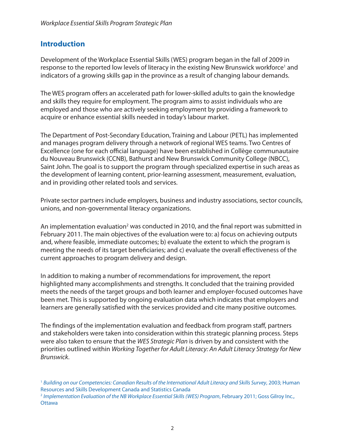## <span id="page-3-0"></span>**Introduction**

Development of the Workplace Essential Skills (WES) program began in the fall of 2009 in response to the reported low levels of literacy in the existing New Brunswick workforce<sup>1</sup> and indicators of a growing skills gap in the province as a result of changing labour demands.

The WES program offers an accelerated path for lower-skilled adults to gain the knowledge and skills they require for employment. The program aims to assist individuals who are employed and those who are actively seeking employment by providing a framework to acquire or enhance essential skills needed in today's labour market.

The Department of Post-Secondary Education, Training and Labour (PETL) has implemented and manages program delivery through a network of regional WES teams. Two Centres of Excellence (one for each official language) have been established in Collège communautaire du Nouveau Brunswick (CCNB), Bathurst and New Brunswick Community College (NBCC), Saint John. The goal is to support the program through specialized expertise in such areas as the development of learning content, prior-learning assessment, measurement, evaluation, and in providing other related tools and services.

Private sector partners include employers, business and industry associations, sector councils, unions, and non-governmental literacy organizations.

An implementation evaluation<sup>2</sup> was conducted in 2010, and the final report was submitted in February 2011. The main objectives of the evaluation were to: a) focus on achieving outputs and, where feasible, immediate outcomes; b) evaluate the extent to which the program is meeting the needs of its target beneficiaries; and c) evaluate the overall effectiveness of the current approaches to program delivery and design.

In addition to making a number of recommendations for improvement, the report highlighted many accomplishments and strengths. It concluded that the training provided meets the needs of the target groups and both learner and employer-focused outcomes have been met. This is supported by ongoing evaluation data which indicates that employers and learners are generally satisfied with the services provided and cite many positive outcomes.

The findings of the implementation evaluation and feedback from program staff, partners and stakeholders were taken into consideration within this strategic planning process. Steps were also taken to ensure that the *WES Strategic Plan* is driven by and consistent with the priorities outlined within *Working Together for Adult Literacy: An Adult Literacy Strategy for New Brunswick*.

<sup>1</sup> *Building on our Competencies: Canadian Results of the International Adult Literacy and Skills Survey*, 2003; Human Resources and Skills Development Canada and Statistics Canada

<sup>2</sup> *Implementation Evaluation of the NB Workplace Essential Skills (WES) Program*, February 2011; Goss Gilroy Inc., **Ottawa**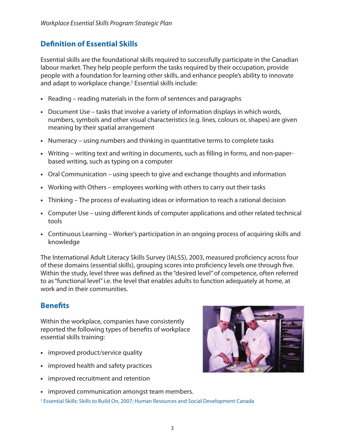# <span id="page-4-0"></span>**Definition of Essential Skills**

Essential skills are the foundational skills required to successfully participate in the Canadian labour market. They help people perform the tasks required by their occupation, provide people with a foundation for learning other skills, and enhance people's ability to innovate and adapt to workplace change.<sup>3</sup> Essential skills include:

- **•** Reading reading materials in the form of sentences and paragraphs
- **•** Document Use tasks that involve a variety of information displays in which words, numbers, symbols and other visual characteristics (e.g. lines, colours or, shapes) are given meaning by their spatial arrangement
- **•** Numeracy using numbers and thinking in quantitative terms to complete tasks
- **•** Writing writing text and writing in documents, such as filling in forms, and non-paperbased writing, such as typing on a computer
- **•** Oral Communication using speech to give and exchange thoughts and information
- **•** Working with Others employees working with others to carry out their tasks
- **•** Thinking The process of evaluating ideas or information to reach a rational decision
- **•** Computer Use using different kinds of computer applications and other related technical tools
- **•** Continuous Learning Worker's participation in an ongoing process of acquiring skills and knowledge

The International Adult Literacy Skills Survey (IALSS), 2003, measured proficiency across four of these domains (essential skills), grouping scores into proficiency levels one through five. Within the study, level three was defined as the "desired level" of competence, often referred to as "functional level" i.e. the level that enables adults to function adequately at home, at work and in their communities.

# **Benefits**

Within the workplace, companies have consistently reported the following types of benefits of workplace essential skills training:

- **•** improved product/service quality
- **•** improved health and safety practices
- **•** improved recruitment and retention
- **•** improved communication amongst team members.
- <sup>3</sup> Essential Skills: Skills to Build On, 2007; Human Resources and Social Development Canada

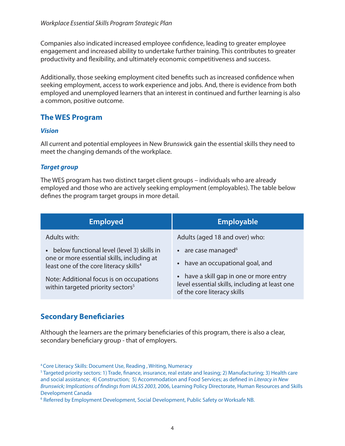<span id="page-5-0"></span>Companies also indicated increased employee confidence, leading to greater employee engagement and increased ability to undertake further training. This contributes to greater productivity and flexibility, and ultimately economic competitiveness and success.

Additionally, those seeking employment cited benefits such as increased confidence when seeking employment, access to work experience and jobs. And, there is evidence from both employed and unemployed learners that an interest in continued and further learning is also a common, positive outcome.

# **The WES Program**

#### *Vision*

All current and potential employees in New Brunswick gain the essential skills they need to meet the changing demands of the workplace.

#### *Target group*

The WES program has two distinct target client groups – individuals who are already employed and those who are actively seeking employment (employables). The table below defines the program target groups in more detail.

| Employed                                                                                                                                       | <b>Employable</b>                                                                                                        |
|------------------------------------------------------------------------------------------------------------------------------------------------|--------------------------------------------------------------------------------------------------------------------------|
| Adults with:                                                                                                                                   | Adults (aged 18 and over) who:                                                                                           |
| below functional level (level 3) skills in<br>one or more essential skills, including at<br>least one of the core literacy skills <sup>4</sup> | $\bullet$ are case managed <sup>6</sup><br>• have an occupational goal, and                                              |
| Note: Additional focus is on occupations<br>within targeted priority sectors <sup>5</sup>                                                      | • have a skill gap in one or more entry<br>level essential skills, including at least one<br>of the core literacy skills |

# **Secondary Beneficiaries**

Although the learners are the primary beneficiaries of this program, there is also a clear, secondary beneficiary group - that of employers.

<sup>4</sup> Core Literacy Skills: Document Use, Reading , Writing, Numeracy

<sup>5</sup> Targeted priority sectors: 1) Trade, finance, insurance, real estate and leasing; 2) Manufacturing; 3) Health care and social assistance; 4) Construction; 5) Accommodation and Food Services; as defined in *Literacy in New Brunswick; Implications of findings from IALSS 2003,* 2006, Learning Policy Directorate, Human Resources and Skills Development Canada

<sup>6</sup> Referred by Employment Development, Social Development, Public Safety or Worksafe NB.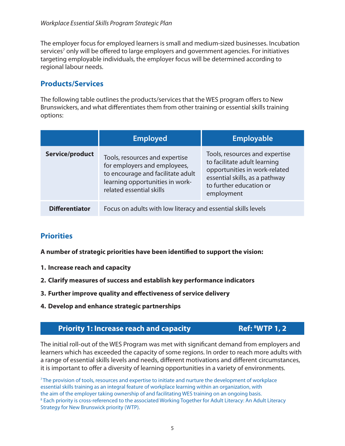<span id="page-6-0"></span>The employer focus for employed learners is small and medium-sized businesses. Incubation services<sup>7</sup> only will be offered to large employers and government agencies. For initiatives targeting employable individuals, the employer focus will be determined according to regional labour needs.

## **Products/Services**

The following table outlines the products/services that the WES program offers to New Brunswickers, and what differentiates them from other training or essential skills training options:

|                       | <b>Employed</b>                                                                                                                                                    | <b>Employable</b>                                                                                                                                                          |
|-----------------------|--------------------------------------------------------------------------------------------------------------------------------------------------------------------|----------------------------------------------------------------------------------------------------------------------------------------------------------------------------|
| Service/product       | Tools, resources and expertise<br>for employers and employees,<br>to encourage and facilitate adult<br>learning opportunities in work-<br>related essential skills | Tools, resources and expertise<br>to facilitate adult learning<br>opportunities in work-related<br>essential skills, as a pathway<br>to further education or<br>employment |
| <b>Differentiator</b> | Focus on adults with low literacy and essential skills levels                                                                                                      |                                                                                                                                                                            |

## **Priorities**

**A number of strategic priorities have been identified to support the vision:**

- **1. Increase reach and capacity**
- **2. Clarify measures of success and establish key performance indicators**
- **3. Further improve quality and effectiveness of service delivery**
- **4. Develop and enhance strategic partnerships**

## **Priority 1: Increase reach and capacity**

## **Ref: 8WTP 1, 2**

The initial roll-out of the WES Program was met with significant demand from employers and learners which has exceeded the capacity of some regions. In order to reach more adults with a range of essential skills levels and needs, different motivations and different circumstances, it is important to offer a diversity of learning opportunities in a variety of environments.

7 The provision of tools, resources and expertise to initiate and nurture the development of workplace essential skills training as an integral feature of workplace learning within an organization, with the aim of the employer taking ownership of and facilitating WES training on an ongoing basis.  $^8$  Each priority is cross-referenced to the associated Working Together for Adult Literacy: An Adult Literacy Strategy for New Brunswick priority (WTP).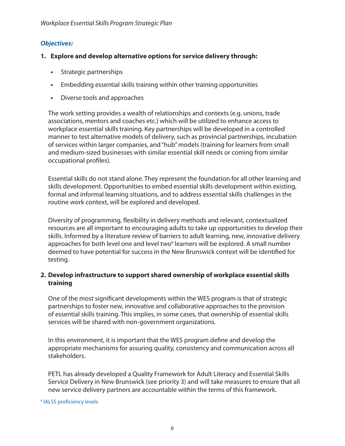#### *Objectives:*

#### **1. Explore and develop alternative options for service delivery through:**

- **•** Strategic partnerships
- **•** Embedding essential skills training within other training opportunities
- **•** Diverse tools and approaches

The work setting provides a wealth of relationships and contexts (e.g. unions, trade associations, mentors and coaches etc.) which will be utilized to enhance access to workplace essential skills training. Key partnerships will be developed in a controlled manner to test alternative models of delivery, such as provincial partnerships, incubation of services within larger companies, and "hub" models (training for learners from small and medium-sized businesses with similar essential skill needs or coming from similar occupational profiles).

Essential skills do not stand alone. They represent the foundation for all other learning and skills development. Opportunities to embed essential skills development within existing, formal and informal learning situations, and to address essential skills challenges in the routine work context, will be explored and developed.

Diversity of programming, flexibility in delivery methods and relevant, contextualized resources are all important to encouraging adults to take up opportunities to develop their skills. Informed by a literature review of barriers to adult learning, new, innovative delivery approaches for both level one and level two<sup>9</sup> learners will be explored. A small number deemed to have potential for success in the New Brunswick context will be identified for testing.

#### **2. Develop infrastructure to support shared ownership of workplace essential skills training**

One of the most significant developments within the WES program is that of strategic partnerships to foster new, innovative and collaborative approaches to the provision of essential skills training. This implies, in some cases, that ownership of essential skills services will be shared with non-government organizations.

In this environment, it is important that the WES program define and develop the appropriate mechanisms for assuring quality, consistency and communication across all stakeholders.

PETL has already developed a Quality Framework for Adult Literacy and Essential Skills Service Delivery in New Brunswick (see priority 3) and will take measures to ensure that all new service delivery partners are accountable within the terms of this framework.

9 IALSS proficiency levels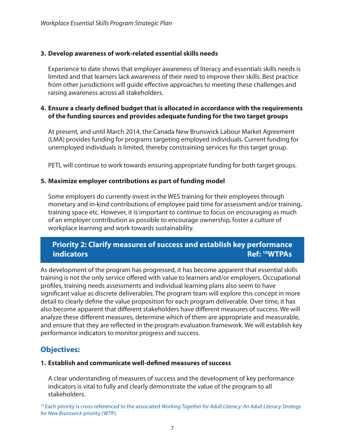#### <span id="page-8-0"></span>**3. Develop awareness of work-related essential skills needs**

Experience to date shows that employer awareness of literacy and essentials skills needs is limited and that learners lack awareness of their need to improve their skills. Best practice from other jurisdictions will guide effective approaches to meeting these challenges and raising awareness across all stakeholders.

#### **4. Ensure a clearly defined budget that is allocated in accordance with the requirements of the funding sources and provides adequate funding for the two target groups**

At present, and until March 2014, the Canada New Brunswick Labour Market Agreement (LMA) provides funding for programs targeting employed individuals. Current funding for unemployed individuals is limited, thereby constraining services for this target group.

PETL will continue to work towards ensuring appropriate funding for both target groups.

#### **5. Maximize employer contributions as part of funding model**

Some employers do currently invest in the WES training for their employees through monetary and in-kind contributions of employee paid time for assessment and/or training, training space etc. However, it is important to continue to focus on encouraging as much of an employer contribution as possible to encourage ownership, foster a culture of workplace learning and work towards sustainability.

## **Priority 2: Clarify measures of success and establish key performance indicators Ref: 10WTPAs**

As development of the program has progressed, it has become apparent that essential skills training is not the only service offered with value to learners and/or employers. Occupational profiles, training needs assessments and individual learning plans also seem to have significant value as discrete deliverables. The program team will explore this concept in more detail to clearly define the value proposition for each program deliverable. Over time, it has also become apparent that different stakeholders have different measures of success. We will analyze these different measures, determine which of them are appropriate and measurable, and ensure that they are reflected in the program evaluation framework. We will establish key performance indicators to monitor progress and success.

## **Objectives:**

#### **1. Establish and communicate well-defined measures of success**

A clear understanding of measures of success and the development of key performance indicators is vital to fully and clearly demonstrate the value of the program to all stakeholders.

10 Each priority is cross-referenced to the associated *Working Together for Adult Literacy: An Adult Literacy Strategy for New Brunswick* priority (WTP).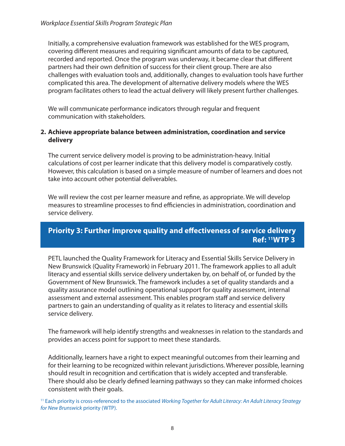<span id="page-9-0"></span>Initially, a comprehensive evaluation framework was established for the WES program, covering different measures and requiring significant amounts of data to be captured, recorded and reported. Once the program was underway, it became clear that different partners had their own definition of success for their client group. There are also challenges with evaluation tools and, additionally, changes to evaluation tools have further complicated this area. The development of alternative delivery models where the WES program facilitates others to lead the actual delivery will likely present further challenges.

We will communicate performance indicators through regular and frequent communication with stakeholders.

#### **2. Achieve appropriate balance between administration, coordination and service delivery**

The current service delivery model is proving to be administration-heavy. Initial calculations of cost per learner indicate that this delivery model is comparatively costly. However, this calculation is based on a simple measure of number of learners and does not take into account other potential deliverables.

We will review the cost per learner measure and refine, as appropriate. We will develop measures to streamline processes to find efficiencies in administration, coordination and service delivery.

## **Priority 3: Further improve quality and effectiveness of service delivery Ref: 11WTP 3**

PETL launched the Quality Framework for Literacy and Essential Skills Service Delivery in New Brunswick (Quality Framework) in February 2011. The framework applies to all adult literacy and essential skills service delivery undertaken by, on behalf of, or funded by the Government of New Brunswick. The framework includes a set of quality standards and a quality assurance model outlining operational support for quality assessment, internal assessment and external assessment. This enables program staff and service delivery partners to gain an understanding of quality as it relates to literacy and essential skills service delivery.

The framework will help identify strengths and weaknesses in relation to the standards and provides an access point for support to meet these standards.

Additionally, learners have a right to expect meaningful outcomes from their learning and for their learning to be recognized within relevant jurisdictions. Wherever possible, learning should result in recognition and certification that is widely accepted and transferable. There should also be clearly defined learning pathways so they can make informed choices consistent with their goals.

11 Each priority is cross-referenced to the associated *Working Together for Adult Literacy: An Adult Literacy Strategy for New Brunswick* priority (WTP).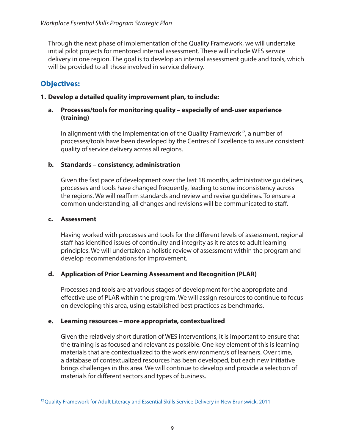Through the next phase of implementation of the Quality Framework, we will undertake initial pilot projects for mentored internal assessment. These will include WES service delivery in one region. The goal is to develop an internal assessment guide and tools, which will be provided to all those involved in service delivery.

# **Objectives:**

#### **1. Develop a detailed quality improvement plan, to include:**

#### **a. Processes/tools for monitoring quality – especially of end-user experience (training)**

In alignment with the implementation of the Quality Framework<sup>12</sup>, a number of processes/tools have been developed by the Centres of Excellence to assure consistent quality of service delivery across all regions.

#### **b. Standards – consistency, administration**

Given the fast pace of development over the last 18 months, administrative guidelines, processes and tools have changed frequently, leading to some inconsistency across the regions. We will reaffirm standards and review and revise guidelines. To ensure a common understanding, all changes and revisions will be communicated to staff.

#### **c. Assessment**

Having worked with processes and tools for the different levels of assessment, regional staff has identified issues of continuity and integrity as it relates to adult learning principles. We will undertaken a holistic review of assessment within the program and develop recommendations for improvement.

#### **d. Application of Prior Learning Assessment and Recognition (PLAR)**

Processes and tools are at various stages of development for the appropriate and effective use of PLAR within the program. We will assign resources to continue to focus on developing this area, using established best practices as benchmarks.

#### **e. Learning resources – more appropriate, contextualized**

Given the relatively short duration of WES interventions, it is important to ensure that the training is as focused and relevant as possible. One key element of this is learning materials that are contextualized to the work environment/s of learners. Over time, a database of contextualized resources has been developed, but each new initiative brings challenges in this area. We will continue to develop and provide a selection of materials for different sectors and types of business.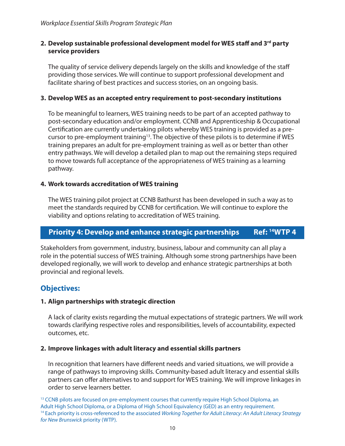#### <span id="page-11-0"></span>**2. Develop sustainable professional development model for WES staff and 3rd party service providers**

The quality of service delivery depends largely on the skills and knowledge of the staff providing those services. We will continue to support professional development and facilitate sharing of best practices and success stories, on an ongoing basis.

#### **3. Develop WES as an accepted entry requirement to post-secondary institutions**

To be meaningful to learners, WES training needs to be part of an accepted pathway to post-secondary education and/or employment. CCNB and Apprenticeship & Occupational Certification are currently undertaking pilots whereby WES training is provided as a precursor to pre-employment training<sup>13</sup>. The objective of these pilots is to determine if WES training prepares an adult for pre-employment training as well as or better than other entry pathways. We will develop a detailed plan to map out the remaining steps required to move towards full acceptance of the appropriateness of WES training as a learning pathway.

#### **4. Work towards accreditation of WES training**

The WES training pilot project at CCNB Bathurst has been developed in such a way as to meet the standards required by CCNB for certification. We will continue to explore the viability and options relating to accreditation of WES training.

## **Priority 4: Develop and enhance strategic partnerships Ref: 14WTP 4**

Stakeholders from government, industry, business, labour and community can all play a role in the potential success of WES training. Although some strong partnerships have been developed regionally, we will work to develop and enhance strategic partnerships at both provincial and regional levels.

## **Objectives:**

#### **1. Align partnerships with strategic direction**

A lack of clarity exists regarding the mutual expectations of strategic partners. We will work towards clarifying respective roles and responsibilities, levels of accountability, expected outcomes, etc.

#### **2. Improve linkages with adult literacy and essential skills partners**

In recognition that learners have different needs and varied situations, we will provide a range of pathways to improving skills. Community-based adult literacy and essential skills partners can offer alternatives to and support for WES training. We will improve linkages in order to serve learners better.

<sup>13</sup> CCNB pilots are focused on pre-employment courses that currently require High School Diploma, an Adult High School Diploma, or a Diploma of High School Equivalency (GED) as an entry requirement. 14 Each priority is cross-referenced to the associated *Working Together for Adult Literacy: An Adult Literacy Strategy for New Brunswick* priority (WTP).